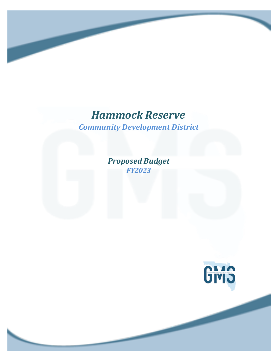*Community Development District*

*Proposed Budget FY2023*

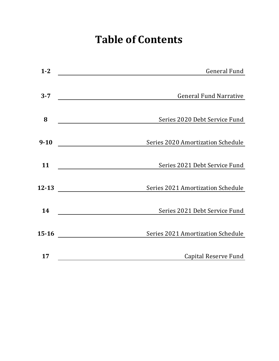# **Table of Contents**

| $1 - 2$   | <b>General Fund</b>               |
|-----------|-----------------------------------|
|           |                                   |
| $3 - 7$   | <b>General Fund Narrative</b>     |
|           |                                   |
| 8         | Series 2020 Debt Service Fund     |
| $9 - 10$  | Series 2020 Amortization Schedule |
| 11        | Series 2021 Debt Service Fund     |
| $12 - 13$ | Series 2021 Amortization Schedule |
| 14        | Series 2021 Debt Service Fund     |
| $15 - 16$ | Series 2021 Amortization Schedule |
| 17        | Capital Reserve Fund              |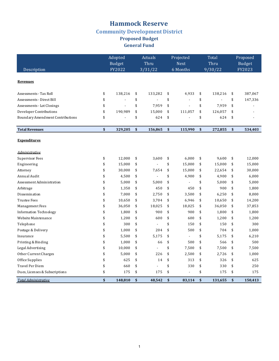### **Hammock Reserve Community Development District** Proposed Budget **General Fund**

|                                         | Adopted       | Actuals              | Projected |                | Total |         | Proposed |               |
|-----------------------------------------|---------------|----------------------|-----------|----------------|-------|---------|----------|---------------|
|                                         | <b>Budget</b> | Thru                 |           | <b>Next</b>    |       | Thru    |          | <b>Budget</b> |
| Description                             | FY2022        | 3/31/22              |           | 6 Months       |       | 9/30/22 |          | FY2023        |
| <b>Revenues</b>                         |               |                      |           |                |       |         |          |               |
| Assessments - Tax Roll                  | \$<br>138,216 | \$<br>133,282        | \$        | 4,933          | \$    | 138,216 | \$       | 387,067       |
| Assessments - Direct Bill               | \$            | \$                   | \$        | $\overline{a}$ | \$    |         | \$       | 147,336       |
| Assessments - Lot Closings              | \$<br>÷       | \$<br>7,959          | \$        | L.             | \$    | 7,959   | \$       |               |
| Developer Contributions                 | \$<br>190,989 | \$<br>15,000         | \$        | 111,057        | \$    | 126,057 | \$       |               |
| <b>Boundary Amendment Contributions</b> | \$            | \$<br>624            | \$        |                | \$    | 624     | \$       |               |
| <b>Total Revenues</b>                   | \$<br>329,205 | \$<br>156,865        | \$        | 115,990        | \$    | 272,855 | \$       | 534,403       |
| <b>Expenditures</b>                     |               |                      |           |                |       |         |          |               |
| <i><u><b>Administrative</b></u></i>     |               |                      |           |                |       |         |          |               |
| <b>Supervisor Fees</b>                  | \$<br>12,000  | \$<br>3,600          | \$        | 6.000          | \$    | 9.600   | \$       | 12,000        |
| Engineering                             | \$<br>15,000  | \$                   | \$        | 15,000         | \$    | 15,000  | \$       | 15,000        |
| Attorney                                | \$<br>30,000  | \$<br>7,654          | \$        | 15,000         | \$    | 22,654  | \$       | 30,000        |
| Annual Audit                            | \$<br>4,500   | \$                   | \$        | 4,900          | \$    | 4,900   | \$       | 6,000         |
| Assessment Administration               | \$<br>5,000   | \$<br>5,000          | \$        | $\blacksquare$ | \$    | 5,000   | \$       | 5,000         |
| Arbitrage                               | \$<br>1,350   | \$<br>450            | \$        | 450            | \$    | 900     | \$       | 1,800         |
| Dissemination                           | \$<br>7,000   | \$<br>2,750          | \$        | 3,500          | \$    | 6,250   | \$       | 8,000         |
| <b>Trustee Fees</b>                     | \$<br>10,650  | \$<br>3,704          | \$        | 6,946          | \$    | 10,650  | \$       | 14,200        |
| Management Fees                         | \$<br>36,050  | \$<br>18,025         | \$        | 18,025         | \$    | 36,050  | \$       | 37,853        |
| <b>Information Technology</b>           | \$<br>1,800   | \$<br>900            | \$        | 900            | \$    | 1.800   | \$       | 1,800         |
| Website Maintenance                     | \$<br>1,200   | \$<br>600            | \$        | 600            | \$    | 1,200   | \$       | 1,200         |
| Telephone                               | \$<br>300     | \$<br>$\blacksquare$ | \$        | 150            | \$    | 150     | \$       | 300           |
| Postage & Delivery                      | \$<br>1,000   | \$<br>204            | \$        | 500            | \$    | 704     | \$       | 1,000         |
| Insurance                               | \$<br>5,500   | \$<br>5,175          | \$        | ÷,             | \$    | 5,175   | \$       | 6,210         |
| Printing & Binding                      | \$<br>1,000   | \$<br>66             | \$        | 500            | \$    | 566     | \$       | 500           |
| Legal Advertising                       | \$<br>10,000  | \$<br>$\overline{a}$ | \$        | 7,500          | \$    | 7,500   | \$       | 7,500         |
| Other Current Charges                   | \$<br>5,000   | \$<br>226            | \$        | 2,500          | \$    | 2,726   | \$       | 1,000         |
| Office Supplies                         | \$<br>625     | \$<br>14             | \$        | 313            | \$    | 326     | \$       | 625           |
| <b>Travel Per Diem</b>                  | \$<br>660     | \$                   | \$        | 330            | \$    | 330     | \$       | 250           |
| Dues, Licenses & Subscriptions          | \$<br>175     | \$<br>175            | \$        | $\overline{a}$ | \$    | 175     | \$       | 175           |
| <b>Total Administrative</b>             | \$<br>148.810 | \$<br>48.542         | \$        | 83.114         | \$    | 131.655 | \$       | 150.413       |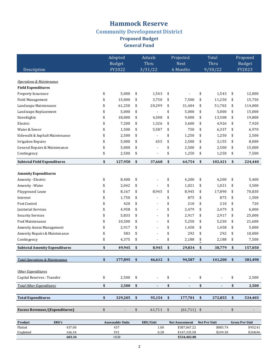### **Hammock Reserve Community Development District** Proposed Budget **General Fund**

|                                           | Adopted<br><b>Budget</b> |                           | Actuals<br>Thru          |                         | Projected<br><b>Next</b> | Total<br>Thru |                | Proposed<br><b>Budget</b> |         |
|-------------------------------------------|--------------------------|---------------------------|--------------------------|-------------------------|--------------------------|---------------|----------------|---------------------------|---------|
| Description                               | FY2022                   |                           | 3/31/22                  |                         | 6 Months                 |               | 9/30/22        |                           | FY2023  |
|                                           |                          |                           |                          |                         |                          |               |                |                           |         |
| <b>Operations &amp; Maintenance</b>       |                          |                           |                          |                         |                          |               |                |                           |         |
| <b>Field Expenditures</b>                 |                          |                           |                          |                         |                          |               |                |                           |         |
| Property Insurance                        | \$<br>5,000              | \$                        | 1,543                    | \$                      |                          | \$            | 1,543          | \$                        | 12,000  |
| Field Management                          | \$<br>15,000             | \$                        | 3,750                    | \$                      | 7,500                    | \$            | 11,250         | \$                        | 15.750  |
| Landscape Maintenance                     | \$<br>61,250             | \$                        | 20,299                   | \$                      | 31,404                   | \$            | 51,702         | \$                        | 114,000 |
| Landscape Replacement                     | \$<br>5,000              | \$                        |                          | \$                      | 5,000                    | \$            | 5,000          | \$                        | 15,000  |
| Streetlights                              | \$<br>18,000             | \$                        | 4,508                    | \$                      | 9,000                    | \$            | 13,508         | \$                        | 19,800  |
| Electric                                  | \$<br>7,200              | \$                        | 1,326                    | \$                      | 3,600                    | \$            | 4,926          | \$                        | 7,920   |
| Water & Sewer                             | \$<br>1,500              | \$                        | 5,587                    | \$                      | 750                      | \$            | 6,337          | \$                        | 6,970   |
| Sidewalk & Asphalt Maintenance            | \$<br>2,500              | \$                        |                          | \$                      | 1,250                    | \$            | 1,250          | \$                        | 2,500   |
| <b>Irrigation Repairs</b>                 | \$<br>5,000              | \$                        | 655                      | \$                      | 2,500                    | \$            | 3,155          | \$                        | 8,000   |
| General Repairs & Maintenance             | \$<br>5,000              | \$                        |                          | \$                      | 2,500                    | \$            | 2,500          | \$                        | 15,000  |
| Contingency                               | \$<br>2,500              | \$                        | $\overline{\phantom{a}}$ | \$                      | 1,250                    | \$            | 1,250          | \$                        | 7,500   |
| <b>Subtotal Field Expenditures</b>        | \$<br>127,950            | \$                        | 37,668                   | \$                      | 64,754                   | \$            | 102,421        | \$                        | 224,440 |
|                                           |                          |                           |                          |                         |                          |               |                |                           |         |
| <b>Amenity Expenditures</b>               |                          |                           |                          |                         |                          |               |                |                           |         |
| Amenity - Electric                        | \$<br>8,400              | \$                        |                          | \$                      | 4,200                    | \$            | 4,200          | \$                        | 5,400   |
| Amenity - Water                           | \$<br>2,042              | \$                        |                          | \$                      | 1,021                    | \$            | 1,021          | \$                        | 3,500   |
| Playground Lease                          | \$<br>8,167              | \$                        | 8,945                    | \$                      | 8,945                    | \$            | 17,890         | \$                        | 70,830  |
| Internet                                  | \$<br>1,750              | \$                        |                          | \$                      | 875                      | \$            | 875            | \$                        | 1,500   |
| Pest Control                              | \$<br>420                | \$                        |                          | \$                      | 210                      | \$            | 210            | \$                        | 720     |
| Janitorial Services                       | \$<br>4,958              | \$                        |                          | \$                      | 2,479                    | \$            | 2,479          | \$                        | 6,000   |
| <b>Security Services</b>                  | \$<br>5,833              | \$                        |                          | \$                      | 2,917                    | \$            | 2,917          | \$                        | 25,000  |
| Pool Maintenance                          | \$<br>10,500             | \$                        |                          | \$                      | 5,250                    | \$            | 5,250          | \$                        | 21,600  |
| Amenity Access Management                 | \$<br>2,917              | \$                        | $\overline{\phantom{a}}$ | \$                      | 1,458                    | \$            | 1,458          | \$                        | 5,000   |
| Amenity Repairs & Maintenance             | \$<br>583                | \$                        | $\overline{\phantom{a}}$ | \$                      | 292                      | \$            | 292            | \$                        | 10,000  |
| Contingency                               | \$<br>4,375              | \$                        |                          | \$                      | 2,188                    | $\frac{6}{3}$ | 2,188          | \$                        | 7,500   |
| <b>Subtotal Amenity Expenditures</b>      | \$<br>49,945             | \$                        | 8,945                    | \$                      | 29,834                   | \$            | 38,779         | \$                        | 157,050 |
| <b>Total Operations &amp; Maintenance</b> |                          | \$                        |                          |                         |                          |               |                |                           |         |
|                                           | \$<br>177,895            |                           | 46,612                   | \$                      | 94,587                   | \$            | 141,200        | \$                        | 381,490 |
| Other Expenditures                        |                          |                           |                          |                         |                          |               |                |                           |         |
| Capital Reserves - Transfer               | \$<br>2,500              | \$                        |                          | \$                      |                          | \$            |                | \$                        | 2,500   |
| <b>Total Other Expenditures</b>           | \$<br>2,500              | \$                        | $\blacksquare$           | \$                      | $\blacksquare$           | \$            | $\blacksquare$ | \$                        | 2,500   |
|                                           |                          |                           |                          |                         |                          |               |                |                           |         |
| <b>Total Expenditures</b>                 | \$<br>329,205            | $\boldsymbol{\mathsf{s}}$ | 95,154                   | \$                      | 177,701                  | \$            | 272,855        | \$                        | 534,403 |
|                                           |                          |                           |                          |                         |                          |               |                |                           |         |
| <b>Excess Revenues/(Expenditures)</b>     | \$                       | \$                        | 61,711                   | $\sqrt[6]{\frac{1}{2}}$ | $(61,711)$ \$            |               |                | \$                        |         |

| Product   | <b>ERU's</b> | <b>Assessable Units</b> | ERU/Unit | <b>Net Assessment</b> | Net Per Unit | <b>Gross Per Unit</b> |
|-----------|--------------|-------------------------|----------|-----------------------|--------------|-----------------------|
| Platted   | 437.00       | 437                     | .00      | \$387.067.22          | \$885.74     | \$952.41              |
| Unplatted | 166.34       | 591                     | 0.28     | \$147.335.58          | \$249.30     | \$268.06              |
|           | 603.34       | 1028                    |          | \$534.402.80          |              |                       |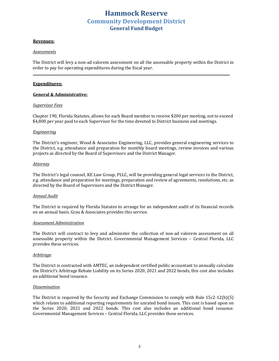#### **Revenues:**

#### *Assessments*

The District will levy a non-ad valorem assessment on all the assessable property within the District in order to pay for operating expenditures during the fiscal year.

#### **Expenditures:**

#### **General & Administrative:**

#### *Supervisor Fees*

Chapter 190, Florida Statutes, allows for each Board member to receive \$200 per meeting, not to exceed \$4,800 per year paid to each Supervisor for the time devoted to District business and meetings.

#### *Engineering*

The District's engineer, Wood & Associates Engineering, LLC, provides general engineering services to the District, e.g. attendance and preparation for monthly board meetings, review invoices and various projects as directed by the Board of Supervisors and the District Manager.

#### *Attorney*

The District's legal counsel, KE Law Group, PLLC, will be providing general legal services to the District, e.g. attendance and preparation for meetings, preparation and review of agreements, resolutions, etc. as directed by the Board of Supervisors and the District Manager.

#### *Annual Audit*

The District is required by Florida Statutes to arrange for an independent audit of its financial records on an annual basis. Grau & Associates provides this service.

#### *Assessment Administration*

The District will contract to levy and administer the collection of non-ad valorem assessment on all assessable property within the District. Governmental Management Services - Central Florida, LLC provides these services.

#### *Arbitrage*

The District is contracted with AMTEC, an independent certified public accountant to annually calculate the District's Arbitrage Rebate Liability on its Series 2020, 2021 and 2022 bonds, this cost also includes an additional bond issuance.

#### *Dissemination*

The District is required by the Security and Exchange Commission to comply with Rule 15c2-12(b)(5) which relates to additional reporting requirements for unrated bond issues. This cost is based upon on the Series 2020, 2021 and 2022 bonds. This cost also includes an additional bond issuance. Governmental Management Services - Central Florida, LLC provides these services.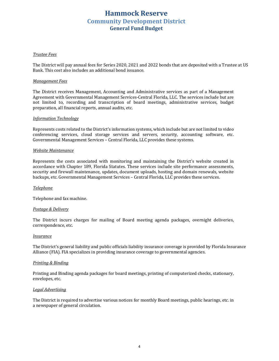#### *Trustee Fees*

The District will pay annual fees for Series 2020, 2021 and 2022 bonds that are deposited with a Trustee at US Bank. This cost also includes an additional bond issuance.

#### *Management Fees*

The District receives Management, Accounting and Administrative services as part of a Management Agreement with Governmental Management Services-Central Florida, LLC. The services include but are not limited to, recording and transcription of board meetings, administrative services, budget preparation, all financial reports, annual audits, etc.

#### *Information Technology*

Represents costs related to the District's information systems, which include but are not limited to video conferencing services, cloud storage services and servers, security, accounting software, etc. Governmental Management Services – Central Florida, LLC provides these systems.

#### *Website Maintenance*

Represents the costs associated with monitoring and maintaining the District's website created in accordance with Chapter 189, Florida Statutes. These services include site performance assessments, security and firewall maintenance, updates, document uploads, hosting and domain renewals, website backups, etc. Governmental Management Services - Central Florida, LLC provides these services.

#### *Telephone*

Telephone and fax machine.

#### *Postage & Delivery*

The District incurs charges for mailing of Board meeting agenda packages, overnight deliveries, correspondence, etc.

#### *Insurance*

The District's general liability and public officials liability insurance coverage is provided by Florida Insurance Alliance (FIA). FIA specializes in providing insurance coverage to governmental agencies.

#### *Printing & Binding*

Printing and Binding agenda packages for board meetings, printing of computerized checks, stationary, envelopes, etc.

#### *Legal Advertising*

The District is required to advertise various notices for monthly Board meetings, public hearings, etc. in a newspaper of general circulation.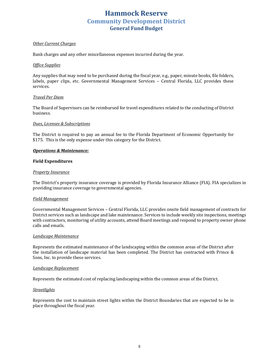#### *Other Current Charges*

Bank charges and any other miscellaneous expenses incurred during the year.

#### *Office Supplies*

Any supplies that may need to be purchased during the fiscal year, e.g., paper, minute books, file folders, labels, paper clips, etc. Governmental Management Services - Central Florida, LLC provides these services.

#### *Travel Per Diem*

The Board of Supervisors can be reimbursed for travel expenditures related to the conducting of District business.

#### *Dues, Licenses & Subscriptions*

The District is required to pay an annual fee to the Florida Department of Economic Opportunity for \$175. This is the only expense under this category for the District.

#### *Operations & Maintenance:*

#### **Field Expenditures**

#### **Property Insurance**

The District's property insurance coverage is provided by Florida Insurance Alliance (FIA). FIA specializes in providing insurance coverage to governmental agencies.

#### *Field Management*

Governmental Management Services – Central Florida, LLC provides onsite field management of contracts for District services such as landscape and lake maintenance. Services to include weekly site inspections, meetings with contractors, monitoring of utility accounts, attend Board meetings and respond to property owner phone calls and emails.

#### *Landscape Maintenance*

Represents the estimated maintenance of the landscaping within the common areas of the District after the installation of landscape material has been completed. The District has contracted with Prince & Sons, Inc. to provide these services.

#### *Landscape Replacement*

Represents the estimated cost of replacing landscaping within the common areas of the District.

#### *Streetlights*

Represents the cost to maintain street lights within the District Boundaries that are expected to be in place throughout the fiscal year.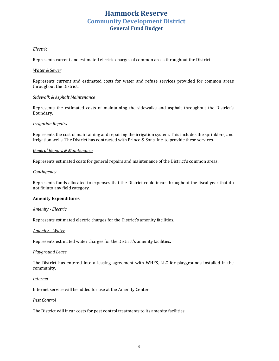#### *Electric*

Represents current and estimated electric charges of common areas throughout the District.

#### *Water & Sewer*

Represents current and estimated costs for water and refuse services provided for common areas throughout the District.

#### *Sidewalk & Asphalt Maintenance*

Represents the estimated costs of maintaining the sidewalks and asphalt throughout the District's Boundary.

#### *Irrigation Repairs*

Represents the cost of maintaining and repairing the irrigation system. This includes the sprinklers, and irrigation wells. The District has contracted with Prince & Sons, Inc. to provide these services.

#### *General Repairs & Maintenance*

Represents estimated costs for general repairs and maintenance of the District's common areas.

#### *Contingency*

Represents funds allocated to expenses that the District could incur throughout the fiscal year that do not fit into any field category.

#### **Amenity Expenditures**

#### *Amenity - Electric*

Represents estimated electric charges for the District's amenity facilities.

#### *Amenity – Water*

Represents estimated water charges for the District's amenity facilities.

#### *Playground Lease*

The District has entered into a leasing agreement with WHFS, LLC for playgrounds installed in the community.

#### *Internet*

Internet service will be added for use at the Amenity Center.

#### *Pest Control*

The District will incur costs for pest control treatments to its amenity facilities.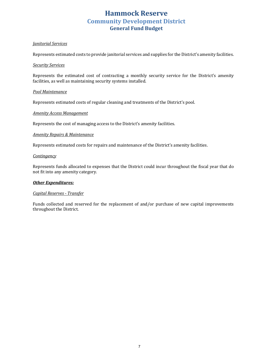#### *Janitorial Services*

Represents estimated costs to provide janitorial services and supplies for the District's amenity facilities.

#### *Security Services*

Represents the estimated cost of contracting a monthly security service for the District's amenity facilities, as well as maintaining security systems installed.

#### *Pool Maintenance*

Represents estimated costs of regular cleaning and treatments of the District's pool.

#### *Amenity Access Management*

Represents the cost of managing access to the District's amenity facilities.

#### *Amenity Repairs & Maintenance*

Represents estimated costs for repairs and maintenance of the District's amenity facilities.

#### *Contingency*

Represents funds allocated to expenses that the District could incur throughout the fiscal year that do not fit into any amenity category.

#### **Other Expenditures:**

#### *Capital Reserves - Transfer*

Funds collected and reserved for the replacement of and/or purchase of new capital improvements throughout the District.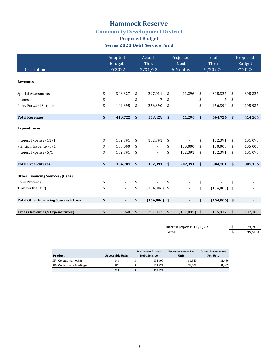# **Community Development District**

### **Proposed Budget Series 2020 Debt Service Fund**

| Description                                 | Adopted<br><b>Budget</b><br>FY2022 | Actuals<br>Thru<br>3/31/22 | Projected<br><b>Next</b><br>6 Months |                           | Total<br>Thru<br>9/30/22 |               | Proposed<br>Budget<br>FY2023 |
|---------------------------------------------|------------------------------------|----------------------------|--------------------------------------|---------------------------|--------------------------|---------------|------------------------------|
| <b>Revenues</b>                             |                                    |                            |                                      |                           |                          |               |                              |
| Special Assessments                         | \$<br>308,327                      | \$<br>297,031              | \$<br>11,296                         | \$                        | 308,327                  | \$            | 308,327                      |
| Interest                                    | \$                                 | \$<br>7                    | \$<br>$\overline{\phantom{a}}$       | \$                        | 7                        | \$            |                              |
| Carry Forward Surplus                       | \$<br>102,395                      | \$<br>256,390              | \$                                   | \$                        | 256,390                  | \$            | 105,937                      |
| <b>Total Revenues</b>                       | \$<br>410,722                      | \$<br>553,428              | \$<br>11,296                         | $\boldsymbol{\mathsf{s}}$ | 564,724                  | $\sqrt{2}$    | 414,264                      |
| <b>Expenditures</b>                         |                                    |                            |                                      |                           |                          |               |                              |
| Interest Expense - 11/1                     | \$<br>102,391                      | \$<br>102,391              | \$                                   | \$                        | 102,391                  | \$            | 101,078                      |
| Principal Expense - 5/1                     | \$<br>100,000                      | \$<br>$\overline{a}$       | \$<br>100.000                        | \$                        | 100,000                  | \$            | 105,000                      |
| Interest Expense - 5/1                      | \$<br>102,391                      | \$                         | \$<br>102,391                        | \$                        | 102,391                  | \$            | 101,078                      |
| <b>Total Expenditures</b>                   | \$<br>304,781                      | \$<br>102,391              | \$<br>202,391                        | $\mathbf{s}$              | 304,781                  | $\mathbf{s}$  | 307,156                      |
| <b>Other Financing Sources/(Uses)</b>       |                                    |                            |                                      |                           |                          |               |                              |
| <b>Bond Proceeds</b>                        | \$                                 | \$                         | \$                                   | \$                        |                          | \$            |                              |
| Transfer In/(Out)                           | \$                                 | \$<br>$(154,006)$ \$       |                                      | \$                        | $(154,006)$ \$           |               |                              |
| <b>Total Other Financing Sources/(Uses)</b> | \$                                 | \$<br>$(154,006)$ \$       | ۰                                    | \$                        | $(154,006)$ \$           |               | $\blacksquare$               |
| <b>Excess Revenues/(Expenditures)</b>       | \$<br>105,940                      | \$<br>297,032              | \$<br>(191, 095)                     | $\frac{1}{2}$             | 105,937                  | $\frac{1}{2}$ | 107,108                      |

Interest Expense 11/1/23 <br> **3** 99,700<br> **5** 99,700 **99,700** 

|                            |                  | <b>Maximum Annual</b> | Net Assessment Per | <b>Gross Assessment</b> |
|----------------------------|------------------|-----------------------|--------------------|-------------------------|
| Product                    | Assessable Units | <b>Debt Service</b>   | Unit               | Per Unit                |
| SF - Contracted - Other    | 144              | 194.400               | \$1.349            | \$1,450                 |
| SF - Contracted - Meritage | 87               | 113.927               | \$1.308            | \$1.407                 |
|                            | 231              | 308.327               |                    |                         |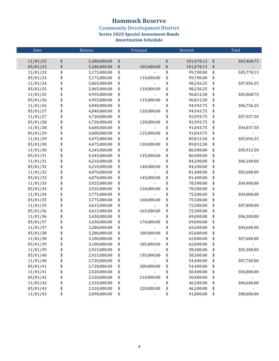**Community Development District<br>Series 2020 Special Assessment Bonds** 

| Date     | Balance            | Prinicpal        |    | Interest   | Total            |
|----------|--------------------|------------------|----|------------|------------------|
|          |                    |                  |    |            |                  |
| 11/01/22 | \$<br>5,280,000.00 | \$               | \$ | 101,078.13 | \$<br>303,468.75 |
| 05/01/23 | \$<br>5,280,000.00 | \$<br>105,000.00 | \$ | 101,078.13 | \$               |
| 11/01/23 | \$<br>5,175,000.00 | \$               | \$ | 99,700.00  | \$<br>305,778.13 |
| 05/01/24 | \$<br>5,175,000.00 | \$<br>110,000.00 | \$ | 99,700.00  | \$               |
| 11/01/24 | \$<br>5,065,000.00 | \$               | \$ | 98,256.25  | \$<br>307,956.25 |
| 05/01/25 | \$<br>5,065,000.00 | \$<br>110,000.00 | \$ | 98,256.25  | \$               |
| 11/01/25 | \$<br>4,955,000.00 | \$               | \$ | 96,812.50  | \$<br>305,068.75 |
| 05/01/26 | \$<br>4,955,000.00 | \$<br>115,000.00 | \$ | 96,812.50  | \$               |
| 11/01/26 | \$<br>4,840,000.00 | \$               | \$ | 94,943.75  | \$<br>306,756.25 |
| 05/01/27 | \$<br>4,840,000.00 | \$<br>120,000.00 | \$ | 94,943.75  | \$               |
| 11/01/27 | \$<br>4,720,000.00 | \$               | \$ | 92,993.75  | \$<br>307,937.50 |
| 05/01/28 | \$<br>4,720,000.00 | \$<br>120,000.00 | \$ | 92,993.75  | \$               |
| 11/01/28 | \$<br>4,600,000.00 | \$               | \$ | 91,043.75  | \$<br>304,037.50 |
| 05/01/29 | \$<br>4,600,000.00 | \$<br>125,000.00 | \$ | 91,043.75  | \$               |
| 11/01/29 | \$<br>4,475,000.00 | \$               | \$ | 89,012.50  | \$<br>305,056.25 |
| 05/01/30 | \$<br>4,475,000.00 | \$<br>130,000.00 | \$ | 89,012.50  | \$               |
| 11/01/30 | \$<br>4,345,000.00 | \$               | \$ | 86,900.00  | \$<br>305,912.50 |
| 05/01/31 | \$<br>4,345,000.00 | \$<br>135,000.00 | \$ | 86,900.00  | \$               |
| 11/01/31 | \$<br>4,210,000.00 | \$               | \$ | 84,200.00  | \$<br>306,100.00 |
| 05/01/32 | \$<br>4,210,000.00 | \$<br>140,000.00 | \$ | 84,200.00  | \$               |
| 11/01/32 | \$<br>4,070,000.00 | \$               | \$ | 81,400.00  | \$<br>305,600.00 |
| 05/01/33 | \$<br>4,070,000.00 | \$<br>145,000.00 | \$ | 81,400.00  | \$               |
| 11/01/33 | \$<br>3,925,000.00 | \$               | \$ | 78,500.00  | \$<br>304,900.00 |
| 05/01/34 | \$<br>3,925,000.00 | \$<br>150,000.00 | \$ | 78,500.00  | \$               |
| 11/01/34 | \$<br>3,775,000.00 | \$               | \$ | 75,500.00  | \$<br>304,000.00 |
| 05/01/35 | \$<br>3,775,000.00 | \$<br>160,000.00 | \$ | 75,500.00  | \$               |
| 11/01/35 | \$<br>3,615,000.00 | \$               | \$ | 72,300.00  | \$<br>307,800.00 |
| 05/01/36 | \$<br>3,615,000.00 | \$<br>165,000.00 | \$ | 72,300.00  | \$               |
| 11/01/36 | \$<br>3,450,000.00 | \$               | \$ | 69,000.00  | \$<br>306,300.00 |
| 05/01/37 | \$<br>3,450,000.00 | \$<br>170,000.00 | \$ | 69,000.00  | \$               |
| 11/01/37 | \$<br>3,280,000.00 | \$               | \$ | 65,600.00  | \$<br>304,600.00 |
| 05/01/38 | \$<br>3,280,000.00 | \$<br>180,000.00 | \$ | 65,600.00  | \$               |
| 11/01/38 | \$<br>3,100,000.00 | \$               | \$ | 62,000.00  | \$<br>307,600.00 |
| 05/01/39 | \$<br>3,100,000.00 | \$<br>185,000.00 | \$ | 62,000.00  | \$               |
| 11/01/39 | \$<br>2,915,000.00 | \$               | \$ | 58,300.00  | \$<br>305,300.00 |
| 05/01/40 | \$<br>2,915,000.00 | \$<br>195,000.00 | \$ | 58,300.00  | \$               |
| 11/01/40 | \$<br>2,720,000.00 | \$               | \$ | 54,400.00  | \$<br>307,700.00 |
| 05/01/41 | \$<br>2,720,000.00 | \$<br>200,000.00 | \$ | 54,400.00  | \$               |
| 11/01/41 | \$<br>2,520,000.00 | \$               | \$ | 50,400.00  | \$<br>304,800.00 |
| 05/01/42 | \$<br>2,520,000.00 | \$<br>210,000.00 | \$ | 50,400.00  | \$               |
| 11/01/42 | \$<br>2,310,000.00 | \$               | \$ | 46,200.00  | \$<br>306,600.00 |
| 05/01/43 | \$<br>2,310,000.00 | \$<br>220,000.00 | \$ | 46,200.00  | \$               |
| 11/01/43 | \$<br>2,090,000.00 | \$               | \$ | 41,800.00  | \$<br>308,000.00 |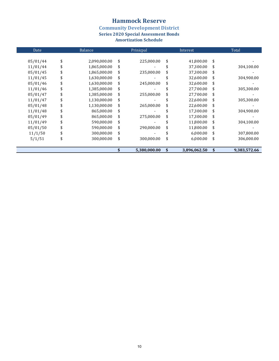**Community Development District<br>Series 2020 Special Assessment Bonds** 

| Date     | Balance            | Prinicpal        |    | Interest     | Total              |
|----------|--------------------|------------------|----|--------------|--------------------|
|          |                    |                  |    |              |                    |
| 05/01/44 | \$<br>2,090,000.00 | \$<br>225,000.00 | \$ | 41,800.00    | \$                 |
| 11/01/44 | \$<br>1,865,000.00 | \$               | S  | 37,300.00    | \$<br>304,100.00   |
| 05/01/45 | \$<br>1,865,000.00 | \$<br>235,000.00 | \$ | 37,300.00    | \$                 |
| 11/01/45 | \$<br>1,630,000.00 | \$               |    | 32,600.00    | \$<br>304,900.00   |
| 05/01/46 | \$<br>1,630,000.00 | \$<br>245,000.00 | \$ | 32,600.00    | \$                 |
| 11/01/46 | \$<br>1,385,000.00 | \$               |    | 27,700.00    | \$<br>305,300.00   |
| 05/01/47 | \$<br>1,385,000.00 | \$<br>255,000.00 | \$ | 27,700.00    | \$                 |
| 11/01/47 | \$<br>1,130,000.00 | \$               |    | 22.600.00    | \$<br>305,300.00   |
| 05/01/48 | \$<br>1,130,000.00 | \$<br>265,000.00 | \$ | 22,600.00    | \$                 |
| 11/01/48 | \$<br>865,000.00   | \$               |    | 17,300.00    | \$<br>304,900.00   |
| 05/01/49 | \$<br>865,000.00   | \$<br>275,000.00 | \$ | 17,300.00    | \$                 |
| 11/01/49 | \$<br>590,000.00   | \$               |    | 11,800.00    | \$<br>304,100.00   |
| 05/01/50 | \$<br>590,000.00   | \$<br>290,000.00 | \$ | 11,800.00    | \$                 |
| 11/1/50  | \$<br>300,000.00   | \$               |    | 6,000.00     | \$<br>307,800.00   |
| 5/1/51   | \$<br>300,000.00   | \$<br>300,000.00 | \$ | 6,000.00     | \$<br>306,000.00   |
|          |                    | 5,380,000.00     | \$ | 3,896,062.50 | \$<br>9,383,572.66 |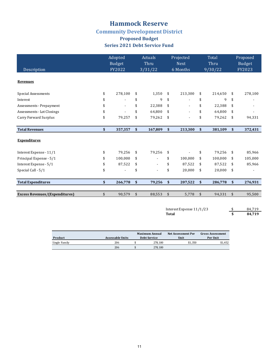# **Community Development District**

### **Proposed Budget Series 2021 Debt Service Fund**

| Description                           | Adopted<br><b>Budget</b><br>FY2022 | Actuals<br>Thru<br>3/31/22     | Projected<br><b>Next</b><br>6 Months | <b>Total</b><br>Thru<br>9/30/22 |               | Proposed<br><b>Budget</b><br>FY2023 |
|---------------------------------------|------------------------------------|--------------------------------|--------------------------------------|---------------------------------|---------------|-------------------------------------|
| <b>Revenues</b>                       |                                    |                                |                                      |                                 |               |                                     |
| <b>Special Assessments</b>            | \$<br>278,100                      | \$<br>1,350                    | \$<br>213,300                        | \$<br>214,650                   | \$            | 278,100                             |
| Interest                              | \$                                 | \$<br>9                        | \$                                   | \$<br>9                         | \$            |                                     |
| Assessments - Prepayment              | \$<br>$\overline{\phantom{a}}$     | \$<br>22,388                   | \$                                   | \$<br>22,388                    | \$            |                                     |
| Assessments - Lot Closings            | \$                                 | \$<br>64,800                   | \$                                   | \$<br>64,800                    | \$            |                                     |
| Carry Forward Surplus                 | \$<br>79,257                       | \$<br>79,262                   | \$                                   | \$<br>79,262                    | \$            | 94,331                              |
| <b>Total Revenues</b>                 | \$<br>357,357                      | \$<br>167,809                  | \$<br>213,300                        | \$<br>381,109                   | \$            | 372,431                             |
| <b>Expenditures</b>                   |                                    |                                |                                      |                                 |               |                                     |
| Interest Expense - 11/1               | \$<br>79,256                       | \$<br>79,256                   | \$                                   | \$<br>79,256                    | \$            | 85,966                              |
| Principal Expense - 5/1               | \$<br>100,000                      | \$                             | \$<br>100,000                        | \$<br>100,000                   | \$            | 105,000                             |
| Interest Expense - 5/1                | \$<br>87,522                       | \$<br>$\overline{\phantom{a}}$ | \$<br>87,522                         | \$<br>87,522                    | \$            | 85,966                              |
| Special Call - 5/1                    | \$                                 | \$                             | \$<br>20,000                         | \$<br>20,000                    | \$            |                                     |
| <b>Total Expenditures</b>             | \$<br>266,778                      | \$<br>79,256                   | \$<br>207,522                        | \$<br>286,778                   | $\mathbf{\$}$ | 276,931                             |
| <b>Excess Revenues/(Expenditures)</b> | \$<br>90,579                       | \$<br>88,553                   | \$<br>5,778                          | \$<br>94,331                    | \$            | 95,500                              |

| Interest Expense $11/1/23$ | 84.719 |
|----------------------------|--------|
| Total                      | 84.719 |

|               |                  | Maximum Annual |                     | Net Assessment Per | <b>Gross Assessment</b> |
|---------------|------------------|----------------|---------------------|--------------------|-------------------------|
| Product       | Assessable Units |                | <b>Debt Service</b> | Unit               | Per Unit                |
| Single Family | 206              |                | 278.100             | \$1.350            | \$1.452                 |
|               | 206              |                | 278.100             |                    |                         |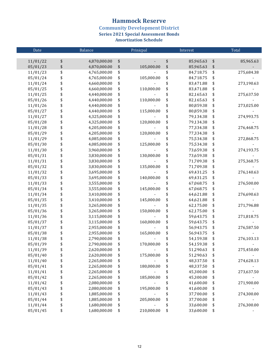**Community Development District<br>Series 2021 Special Assessment Bonds** 

| Date     | Balance            | Prinicpal |            | Interest        | Total |            |  |
|----------|--------------------|-----------|------------|-----------------|-------|------------|--|
|          |                    |           |            |                 |       |            |  |
| 11/01/22 | \$<br>4,870,000.00 | \$        |            | \$<br>85,965.63 | \$    | 85,965.63  |  |
| 05/01/23 | \$<br>4,870,000.00 | \$        | 105,000.00 | \$<br>85,965.63 | \$    |            |  |
| 11/01/23 | \$<br>4,765,000.00 | \$        |            | \$<br>84,718.75 | \$    | 275,684.38 |  |
| 05/01/24 | \$<br>4,765,000.00 | \$        | 105,000.00 | \$<br>84,718.75 | \$    |            |  |
| 11/01/24 | \$<br>4,660,000.00 | \$        |            | \$<br>83,471.88 | \$    | 273,190.63 |  |
| 05/01/25 | \$<br>4,660,000.00 | \$        | 110,000.00 | \$<br>83,471.88 | \$    |            |  |
| 11/01/25 | \$<br>4,440,000.00 | \$        |            | \$<br>82,165.63 | \$    | 275,637.50 |  |
| 05/01/26 | \$<br>4,440,000.00 | \$        | 110,000.00 | \$<br>82,165.63 | \$    |            |  |
| 11/01/26 | \$<br>4,440,000.00 | \$        |            | \$<br>80,859.38 | \$    | 273,025.00 |  |
| 05/01/27 | \$<br>4,440,000.00 | \$        | 115,000.00 | \$<br>80,859.38 | \$    |            |  |
| 11/01/27 | \$<br>4,325,000.00 | \$        |            | \$<br>79,134.38 | \$    | 274,993.75 |  |
| 05/01/28 | \$<br>4,325,000.00 | \$        | 120,000.00 | \$<br>79,134.38 | \$    |            |  |
| 11/01/28 | \$<br>4,205,000.00 | \$        |            | \$<br>77,334.38 | \$    | 276,468.75 |  |
| 05/01/29 | \$<br>4,205,000.00 | \$        | 120,000.00 | \$<br>77,334.38 | \$    |            |  |
| 11/01/29 | \$<br>4,085,000.00 | \$        |            | \$<br>75,534.38 | \$    | 272,868.75 |  |
| 05/01/30 | \$<br>4,085,000.00 | \$        | 125,000.00 | \$<br>75,534.38 | \$    |            |  |
| 11/01/30 | \$<br>3,960,000.00 | \$        |            | \$<br>73,659.38 | \$    | 274,193.75 |  |
| 05/01/31 | \$<br>3,830,000.00 | \$        | 130,000.00 | \$<br>73,659.38 | \$    |            |  |
| 11/01/31 | \$<br>3,830,000.00 | \$        |            | \$<br>71,709.38 | \$    | 275,368.75 |  |
| 05/01/32 | \$<br>3,830,000.00 | \$        | 135,000.00 | \$<br>71,709.38 | \$    |            |  |
| 11/01/32 | \$<br>3,695,000.00 | \$        |            | \$<br>69,431.25 | \$    | 276,140.63 |  |
| 05/01/33 | \$<br>3,695,000.00 | \$        | 140,000.00 | \$<br>69,431.25 | \$    |            |  |
| 11/01/33 | \$<br>3,555,000.00 | \$        |            | \$<br>67,068.75 | \$    | 276,500.00 |  |
| 05/01/34 | \$<br>3,555,000.00 | \$        | 145,000.00 | \$<br>67,068.75 | \$    |            |  |
| 11/01/34 | \$<br>3,410,000.00 | \$        |            | \$<br>64,621.88 | \$    | 276,690.63 |  |
| 05/01/35 | \$<br>3,410,000.00 | \$        | 145,000.00 | \$<br>64,621.88 | \$    |            |  |
| 11/01/35 | \$<br>3,265,000.00 | \$        |            | \$<br>62,175.00 | \$    | 271,796.88 |  |
| 05/01/36 | \$<br>3,265,000.00 | \$        | 150,000.00 | \$<br>62,175.00 | \$    |            |  |
| 11/01/36 | \$<br>3,115,000.00 | \$        |            | \$<br>59,643.75 | \$    | 271,818.75 |  |
| 05/01/37 | \$<br>3,115,000.00 | \$        | 160,000.00 | \$<br>59,643.75 | \$    |            |  |
| 11/01/37 | \$<br>2,955,000.00 | \$        |            | \$<br>56,943.75 | \$    | 276,587.50 |  |
| 05/01/38 | \$<br>2,955,000.00 | \$        | 165,000.00 | \$<br>56,943.75 | \$    |            |  |
| 11/01/38 | \$<br>2,790,000.00 | \$        |            | \$<br>54,159.38 | \$    | 276,103.13 |  |
| 05/01/39 | \$<br>2,790,000.00 | \$        | 170,000.00 | \$<br>54,159.38 | \$    |            |  |
| 11/01/39 | \$<br>2,620,000.00 | \$        |            | \$<br>51,290.63 | \$    | 275,450.00 |  |
| 05/01/40 | \$<br>2,620,000.00 | \$        | 175,000.00 | \$<br>51,290.63 | \$    |            |  |
| 11/01/40 | \$<br>2,265,000.00 | \$        |            | \$<br>48,337.50 | \$    | 274,628.13 |  |
| 05/01/41 | \$<br>2,265,000.00 | \$        | 180,000.00 | \$<br>48,337.50 | \$    |            |  |
| 11/01/41 | \$<br>2,265,000.00 | \$        |            | \$<br>45,300.00 | \$    | 273,637.50 |  |
| 05/01/42 | \$<br>2,265,000.00 | \$        | 185,000.00 | \$<br>45,300.00 | \$    |            |  |
| 11/01/42 | \$<br>2,080,000.00 | \$        |            | \$<br>41,600.00 | \$    | 271,900.00 |  |
| 05/01/43 | \$<br>2,080,000.00 | \$        | 195,000.00 | \$<br>41,600.00 | \$    |            |  |
| 11/01/43 | \$<br>1,885,000.00 | \$        |            | \$<br>37,700.00 | \$    | 274,300.00 |  |
| 05/01/44 | \$<br>1,885,000.00 | \$        | 205,000.00 | \$<br>37,700.00 | \$    |            |  |
| 11/01/44 | \$<br>1,680,000.00 | \$        |            | \$<br>33,600.00 | \$    | 276,300.00 |  |
| 05/01/45 | \$<br>1,680,000.00 | \$        | 210,000.00 | \$<br>33,600.00 | \$    |            |  |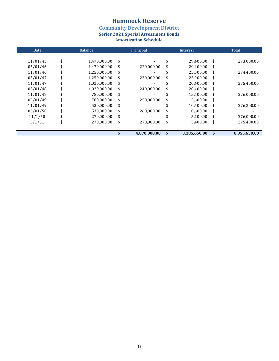**Community Development District<br>Series 2021 Special Assessment Bonds** 

| Date     | <b>Balance</b>     | Prinicpal        |    | Interest     | Total |              |
|----------|--------------------|------------------|----|--------------|-------|--------------|
| 11/01/45 | \$<br>1,470,000.00 | \$               | \$ | 29,400.00    | \$    | 273,000.00   |
| 05/01/46 | \$<br>1,470,000.00 | \$<br>220,000.00 | \$ | 29,400.00    | \$    |              |
| 11/01/46 | \$<br>1,250,000.00 | \$               |    | 25.000.00    | \$    | 274,400.00   |
| 05/01/47 | \$<br>1,250,000.00 | \$<br>230,000.00 | \$ | 25,000.00    | \$    |              |
| 11/01/47 | \$<br>1,020,000.00 | \$               |    | 20.400.00    | \$    | 275,400.00   |
| 05/01/48 | \$<br>1,020,000.00 | \$<br>240,000.00 | \$ | 20,400.00    | \$    |              |
| 11/01/48 | \$<br>780,000.00   | \$               |    | 15,600.00    | \$    | 276,000.00   |
| 05/01/49 | \$<br>780,000.00   | \$<br>250,000.00 | \$ | 15,600.00    | \$    |              |
| 11/01/49 | \$<br>530,000.00   | \$               |    | 10,600.00    | \$    | 276,200.00   |
| 05/01/50 | \$<br>530.000.00   | \$<br>260.000.00 | \$ | 10,600.00    | \$    |              |
| 11/1/50  | \$<br>270,000.00   | \$               |    | 5,400.00     | \$    | 276,000.00   |
| 5/1/51   | \$<br>270.000.00   | \$<br>270,000.00 | \$ | 5,400.00     | \$    | 275,400.00   |
|          |                    | 4,870,000.00     | \$ | 3,185,650.00 | \$    | 8,055,650.00 |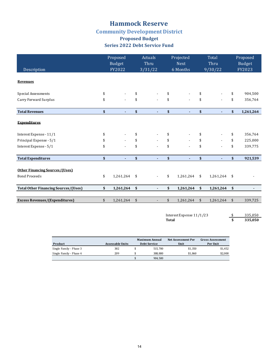# **Community Development District**

### **Proposed Budget Series 2022 Debt Service Fund**

| Description                                 | Proposed<br>Budget<br>FY2022 | Actuals<br>Thru<br>3/31/22     | Projected<br><b>Next</b><br>6 Months |                           | <b>Total</b><br>Thru<br>9/30/22 | Proposed<br>Budget<br>FY2023 |
|---------------------------------------------|------------------------------|--------------------------------|--------------------------------------|---------------------------|---------------------------------|------------------------------|
| <b>Revenues</b>                             |                              |                                |                                      |                           |                                 |                              |
| Special Assessments                         | \$                           | \$                             | \$                                   | \$                        | $\overline{\phantom{0}}$        | \$<br>904,500                |
| Carry Forward Surplus                       | \$                           | \$                             | \$                                   | \$                        | $\overline{a}$                  | \$<br>356,764                |
| <b>Total Revenues</b>                       | \$<br>٠                      | \$<br>$\blacksquare$           | \$<br>٠                              | \$                        | ٠                               | \$<br>1,261,264              |
| <b>Expenditures</b>                         |                              |                                |                                      |                           |                                 |                              |
| Interest Expense - 11/1                     | \$                           | \$                             | \$                                   | \$                        |                                 | \$<br>356,764                |
| Principal Expense - 5/1                     | \$                           | \$                             | \$                                   | \$                        |                                 | \$<br>225,000                |
| Interest Expense - 5/1                      | \$                           | \$                             | \$                                   | \$                        |                                 | \$<br>339,775                |
| <b>Total Expenditures</b>                   | \$<br>٠                      | \$<br>$\blacksquare$           | \$<br>٠                              | \$                        | ٠                               | \$<br>921,539                |
| <b>Other Financing Sources/(Uses)</b>       |                              |                                |                                      |                           |                                 |                              |
| <b>Bond Proceeds</b>                        | \$<br>1,261,264 \$           | $\overline{\phantom{a}}$       | \$<br>1,261,264                      | $\sqrt{5}$                | 1,261,264                       | \$                           |
| <b>Total Other Financing Sources/(Uses)</b> | \$<br>1,261,264              | \$<br>$\overline{\phantom{0}}$ | \$<br>1,261,264                      | $\boldsymbol{\mathsf{s}}$ | 1,261,264                       | \$                           |
| <b>Excess Revenues/(Expenditures)</b>       | \$<br>1,261,264              | \$<br>$\overline{\phantom{a}}$ | \$<br>1,261,264                      | $\sqrt[6]{3}$             | 1,261,264                       | \$<br>339,725                |
|                                             |                              |                                |                                      |                           |                                 |                              |

Interest Expense  $11/1/23$   $\frac{\$}{\$}$   $335,050$ <br>Total  $\frac{\$}{\$}$   $335,050$ **335,050** 

|                         |                  | <b>Maximum Annual</b> | Net Assessment Per | <b>Gross Assessment</b> |  |  |
|-------------------------|------------------|-----------------------|--------------------|-------------------------|--|--|
| Product                 | Assessable Units | <b>Debt Service</b>   | Unit               | Per Unit                |  |  |
| Single Family - Phase 3 | 382              | 515.700               | \$1,350            | \$1,452                 |  |  |
| Single Family - Phase 4 | 209              | 388.800               | \$1.860            | \$2,000                 |  |  |
|                         |                  | 904.500               |                    |                         |  |  |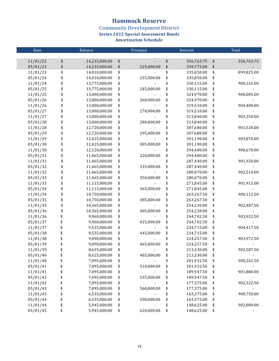**Community Development District<br>Series 2022 Special Assessment Bonds** 

| Date     | Balance             | Prinicpal        | Interest         | Total            |
|----------|---------------------|------------------|------------------|------------------|
|          |                     |                  |                  |                  |
| 11/01/22 | \$<br>14,235,000.00 | \$               | \$<br>356,763.75 | \$<br>356,763.75 |
| 05/01/23 | \$<br>14,235,000.00 | \$<br>225,000.00 | \$<br>339,775.00 | \$               |
| 11/01/23 | \$<br>14,010,000.00 | \$               | \$<br>335,050.00 | \$<br>899,825.00 |
| 05/01/24 | \$<br>14,010,000.00 | \$<br>235,000.00 | \$<br>335,050.00 | \$               |
| 11/01/24 | \$<br>13,775,000.00 | \$               | \$<br>330,115.00 | \$<br>900,165.00 |
| 05/01/25 | \$<br>13,775,000.00 | \$<br>245,000.00 | \$<br>330,115.00 | \$               |
| 11/01/25 | \$<br>13,000,000.00 | \$               | \$<br>324,970.00 | \$<br>900,085.00 |
| 05/01/26 | \$<br>13,000,000.00 | \$<br>260,000.00 | \$<br>324,970.00 | \$               |
| 11/01/26 | \$<br>13,000,000.00 | \$               | \$<br>319,510.00 | \$<br>904,480.00 |
| 05/01/27 | \$<br>13,000,000.00 | \$<br>270,000.00 | \$<br>319,510.00 | \$               |
| 11/01/27 | \$<br>13,000,000.00 | \$               | \$<br>313,840.00 | \$<br>903,350.00 |
| 05/01/28 | \$<br>13,000,000.00 | \$<br>280,000.00 | \$<br>313,840.00 | \$               |
| 11/01/28 | \$<br>12,720,000.00 | \$               | \$<br>307,680.00 | \$<br>901,520.00 |
| 05/01/29 | \$<br>12,720,000.00 | \$<br>295,000.00 | \$<br>307,680.00 | \$               |
| 11/01/29 | \$<br>12,425,000.00 | \$               | \$<br>301,190.00 | \$<br>903,870.00 |
| 05/01/30 | \$<br>12,425,000.00 | \$<br>305,000.00 | \$<br>301,190.00 | \$               |
| 11/01/30 | \$<br>12,120,000.00 | \$               | \$<br>294,480.00 | \$<br>900,670.00 |
| 05/01/31 | \$<br>11,465,000.00 | \$<br>320,000.00 | \$<br>294,480.00 | \$               |
| 11/01/31 | \$<br>11,465,000.00 | \$               | \$<br>287,440.00 | \$<br>901,920.00 |
| 05/01/32 | \$<br>11,465,000.00 | \$<br>335,000.00 | \$<br>287,440.00 | \$               |
| 11/01/32 | \$<br>11,465,000.00 | \$               | \$<br>280,070.00 | \$<br>902,510.00 |
| 05/01/33 | \$<br>11,465,000.00 | \$<br>350,000.00 | \$<br>280,070.00 | \$               |
| 11/01/33 | \$<br>11,115,000.00 | \$               | \$<br>271,845.00 | \$<br>901,915.00 |
| 05/01/34 | \$<br>11,115,000.00 | \$<br>365,000.00 | \$<br>271,845.00 | \$               |
| 11/01/34 | \$<br>10,750,000.00 | \$               | \$<br>263,267.50 | \$<br>900,112.50 |
| 05/01/35 | \$<br>10,750,000.00 | \$<br>385,000.00 | \$<br>263,267.50 | \$               |
| 11/01/35 | \$<br>10,365,000.00 | \$               | \$<br>254,220.00 | \$<br>902,487.50 |
| 05/01/36 | \$<br>10,365,000.00 | \$<br>405,000.00 | \$<br>254,220.00 | \$               |
| 11/01/36 | \$<br>9,960,000.00  | \$               | \$<br>244,702.50 | \$<br>903,922.50 |
| 05/01/37 | \$<br>9,960,000.00  | \$<br>425,000.00 | \$<br>244,702.50 | \$               |
| 11/01/37 | \$<br>9,535,000.00  | \$               | \$<br>234,715.00 | \$<br>904,417.50 |
| 05/01/38 | \$<br>9,535,000.00  | \$<br>445,000.00 | \$<br>234,715.00 | \$               |
| 11/01/38 | \$<br>9,090,000.00  | \$               | \$<br>224,257.50 | \$<br>903,972.50 |
| 05/01/39 | \$<br>9,090,000.00  | \$<br>465,000.00 | \$<br>224,257.50 | \$               |
| 11/01/39 | \$<br>8,625,000.00  | \$               | \$<br>213,330.00 | \$<br>902,587.50 |
| 05/01/40 | \$<br>8,625,000.00  | \$<br>485,000.00 | \$<br>213,330.00 | \$               |
| 11/01/40 | \$<br>7,095,000.00  | \$               | \$<br>201,932.50 | \$<br>900,262.50 |
| 05/01/41 | \$<br>7,095,000.00  | \$<br>510,000.00 | \$<br>201,932.50 | \$               |
| 11/01/41 | \$<br>7,095,000.00  | \$               | \$<br>189,947.50 | \$<br>901,880.00 |
| 05/01/42 | \$<br>7,095,000.00  | \$<br>535,000.00 | \$<br>189,947.50 | \$               |
| 11/01/42 | \$<br>7,095,000.00  | \$               | \$<br>177,375.00 | \$<br>902,322.50 |
| 05/01/43 | \$<br>7,095,000.00  | \$<br>560,000.00 | \$<br>177,375.00 | \$               |
| 11/01/43 | \$<br>6,535,000.00  | \$               | \$<br>163,375.00 | \$<br>900,750.00 |
| 05/01/44 | \$<br>6,535,000.00  | \$<br>590,000.00 | \$<br>163,375.00 | \$               |
| 11/01/44 | \$<br>5,945,000.00  | \$               | \$<br>148,625.00 | \$<br>902,000.00 |
| 05/01/45 | \$<br>5,945,000.00  | \$<br>620,000.00 | \$<br>148,625.00 | \$               |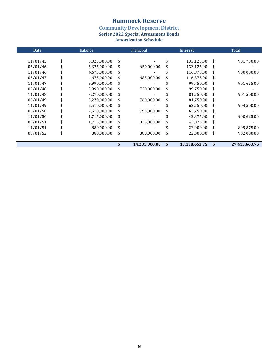**Community Development District<br>Series 2022 Special Assessment Bonds** 

| Date     | Balance            | Prinicpal           |    |               | Total               |
|----------|--------------------|---------------------|----|---------------|---------------------|
|          |                    |                     |    |               |                     |
| 11/01/45 | \$<br>5,325,000.00 | \$                  | \$ | 133,125.00    | \$<br>901,750.00    |
| 05/01/46 | 5,325,000.00       | \$<br>650,000.00    | \$ | 133,125.00    | \$                  |
| 11/01/46 | 4,675,000.00       | \$                  |    | 116,875.00    | \$<br>900,000.00    |
| 05/01/47 | 4,675,000.00       | \$<br>685,000.00    | \$ | 116,875.00    | \$                  |
| 11/01/47 | 3,990,000.00       | \$                  |    | 99.750.00     | \$<br>901,625.00    |
| 05/01/48 | 3,990,000.00       | \$<br>720,000.00    | \$ | 99,750.00     | \$                  |
| 11/01/48 | 3,270,000.00       | \$                  |    | 81,750.00     | \$<br>901,500.00    |
| 05/01/49 | 3,270,000.00       | \$<br>760,000.00    | \$ | 81,750.00     | \$                  |
| 11/01/49 | 2,510,000.00       | \$                  |    | 62,750.00     | \$<br>904,500.00    |
| 05/01/50 | 2,510,000.00       | \$<br>795,000.00    | \$ | 62,750.00     | \$                  |
| 11/01/50 | 1,715,000.00       | \$                  |    | 42,875.00     | \$<br>900,625.00    |
| 05/01/51 | 1,715,000.00       | \$<br>835,000.00    | \$ | 42,875.00     | \$                  |
| 11/01/51 | 880,000.00         | \$                  |    | 22,000.00     | \$<br>899,875.00    |
| 05/01/52 | 880,000.00         | \$<br>880,000.00    | \$ | 22,000.00     | \$<br>902,000.00    |
|          |                    |                     |    |               |                     |
|          |                    | \$<br>14,235,000.00 | \$ | 13,178,663.75 | \$<br>27,413,663.75 |